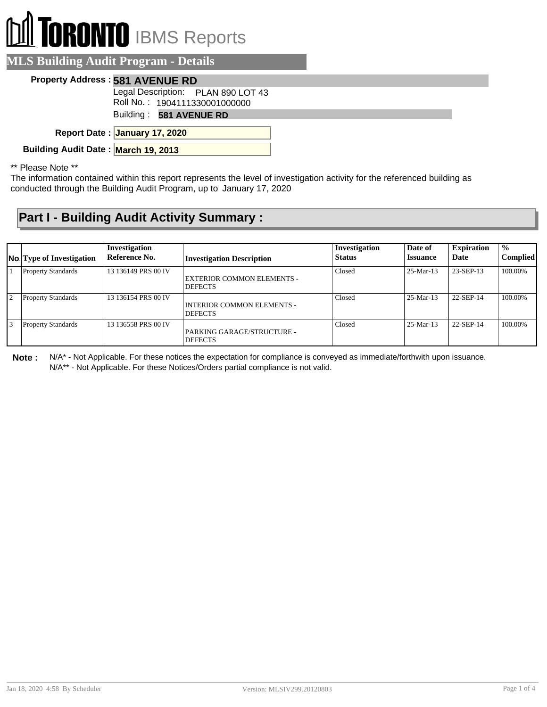# **RONTO** IBMS Reports

#### **MLS Building Audit Program - Details**

#### **Property Address : 581 AVENUE RD**

Legal Description: PLAN 890 LOT 43

Roll No. : 1904111330001000000

Building : **581 AVENUE RD**

**January 17, 2020 Report Date :**

**Building Audit Date : March 19, 2013**

\*\* Please Note \*\*

The information contained within this report represents the level of investigation activity for the referenced building as conducted through the Building Audit Program, up to January 17, 2020

#### **Part I - Building Audit Activity Summary :**

| No. Type of Investigation | Investigation<br>Reference No. | <b>Investigation Description</b>                    | Investigation<br><b>Status</b> | Date of<br><b>Issuance</b> | <b>Expiration</b><br>Date | $\frac{0}{0}$<br><b>Complied</b> |
|---------------------------|--------------------------------|-----------------------------------------------------|--------------------------------|----------------------------|---------------------------|----------------------------------|
| <b>Property Standards</b> | 13 136149 PRS 00 IV            | <b>EXTERIOR COMMON ELEMENTS -</b><br><b>DEFECTS</b> | Closed                         | $25-Mar-13$                | 23-SEP-13                 | 100.00%                          |
| <b>Property Standards</b> | 13 136154 PRS 00 IV            | INTERIOR COMMON ELEMENTS -<br><b>DEFECTS</b>        | Closed                         | $25-Mar-13$                | 22-SEP-14                 | 100.00%                          |
| <b>Property Standards</b> | 13 136558 PRS 00 IV            | PARKING GARAGE/STRUCTURE -<br><b>DEFECTS</b>        | Closed                         | $25-Mar-13$                | 22-SEP-14                 | 100.00%                          |

**Note :** N/A\* - Not Applicable. For these notices the expectation for compliance is conveyed as immediate/forthwith upon issuance. N/A\*\* - Not Applicable. For these Notices/Orders partial compliance is not valid.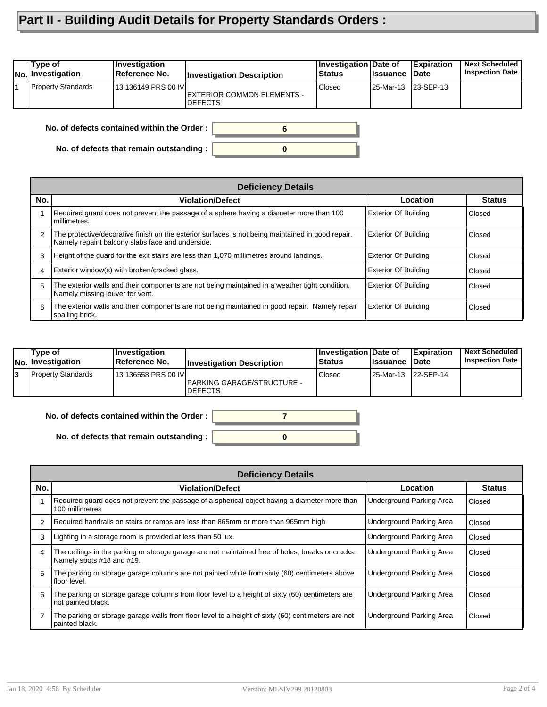### **Part II - Building Audit Details for Property Standards Orders :**

| Type of<br><b>No. Investigation</b>        | Investigation<br>Reference No. | <b>Investigation Description</b>             | Investigation Date of<br>Status | <b>Issuance</b> | <b>Expiration</b><br>∣Date | <b>Next Scheduled</b><br><b>Inspection Date</b> |  |
|--------------------------------------------|--------------------------------|----------------------------------------------|---------------------------------|-----------------|----------------------------|-------------------------------------------------|--|
| Property Standards                         | 13 136149 PRS 00 IV            | EXTERIOR COMMON ELEMENTS -<br><b>DEFECTS</b> | Closed                          | l 25-Mar-13     | $ 23-SEP-13$               |                                                 |  |
| No. of defects contained within the Order: |                                |                                              |                                 |                 |                            |                                                 |  |

**0**

**No. of defects contained within the Order :**

**No. of defects that remain outstanding :**

|     | <b>Deficiency Details</b>                                                                                                                             |                             |               |  |  |  |  |
|-----|-------------------------------------------------------------------------------------------------------------------------------------------------------|-----------------------------|---------------|--|--|--|--|
| No. | <b>Violation/Defect</b>                                                                                                                               | Location                    | <b>Status</b> |  |  |  |  |
|     | Required guard does not prevent the passage of a sphere having a diameter more than 100<br>millimetres.                                               | <b>Exterior Of Building</b> | Closed        |  |  |  |  |
| 2   | The protective/decorative finish on the exterior surfaces is not being maintained in good repair.<br>Namely repaint balcony slabs face and underside. | <b>Exterior Of Building</b> | Closed        |  |  |  |  |
| 3   | Height of the guard for the exit stairs are less than 1,070 millimetres around landings.                                                              | <b>Exterior Of Building</b> | Closed        |  |  |  |  |
| 4   | Exterior window(s) with broken/cracked glass.                                                                                                         | <b>Exterior Of Building</b> | Closed        |  |  |  |  |
| 5   | The exterior walls and their components are not being maintained in a weather tight condition.<br>Namely missing louver for vent.                     | <b>Exterior Of Building</b> | Closed        |  |  |  |  |
| 6   | The exterior walls and their components are not being maintained in good repair. Namely repair<br>spalling brick.                                     | <b>Exterior Of Building</b> | Closed        |  |  |  |  |

| Tvpe of<br>No. Investigation | ∣Investiqation<br><b>Reference No.</b> | <b>Investigation Description</b>             | <b>Investigation Date of</b><br><b>Status</b> | <b>I</b> ssuance | <b>Expiration</b><br><b>Date</b> | <b>Next Scheduled</b><br><b>Inspection Date</b> |
|------------------------------|----------------------------------------|----------------------------------------------|-----------------------------------------------|------------------|----------------------------------|-------------------------------------------------|
| Property Standards           | 13 136558 PRS 00 IVI                   | PARKING GARAGE/STRUCTURE -<br><b>DEFECTS</b> | Closed                                        | 25-Mar-13        | 22-SEP-14                        |                                                 |



|     | <b>Deficiency Details</b>                                                                                                      |                          |               |  |  |  |  |
|-----|--------------------------------------------------------------------------------------------------------------------------------|--------------------------|---------------|--|--|--|--|
| No. | <b>Violation/Defect</b>                                                                                                        | Location                 | <b>Status</b> |  |  |  |  |
|     | Required guard does not prevent the passage of a spherical object having a diameter more than<br>100 millimetres               | Underground Parking Area | Closed        |  |  |  |  |
|     | Required handrails on stairs or ramps are less than 865mm or more than 965mm high                                              | Underground Parking Area | Closed        |  |  |  |  |
|     | Lighting in a storage room is provided at less than 50 lux.                                                                    | Underground Parking Area | Closed        |  |  |  |  |
| 4   | The ceilings in the parking or storage garage are not maintained free of holes, breaks or cracks.<br>Namely spots #18 and #19. | Underground Parking Area | Closed        |  |  |  |  |
| 5   | The parking or storage garage columns are not painted white from sixty (60) centimeters above<br>floor level.                  | Underground Parking Area | Closed        |  |  |  |  |
| 6   | The parking or storage garage columns from floor level to a height of sixty (60) centimeters are<br>not painted black.         | Underground Parking Area | Closed        |  |  |  |  |
|     | The parking or storage garage walls from floor level to a height of sixty (60) centimeters are not<br>painted black.           | Underground Parking Area | Closed        |  |  |  |  |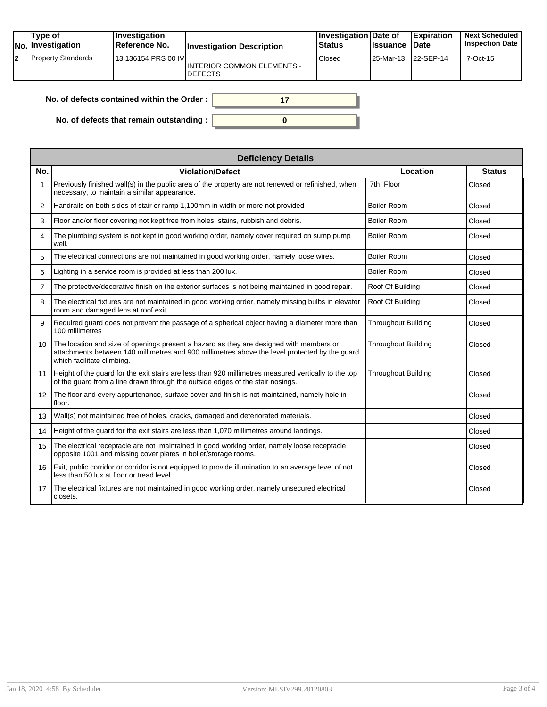|    | Type of<br><b>No.</b> Investigation | ∣Investiqation<br>Reference No. | <b>Investigation Description</b>                    | Investigation Date of<br><b>Status</b> | <b>Ilssuance Date</b> | <b>Expiration</b> | <b>Next Scheduled</b><br><b>Inspection Date</b> |
|----|-------------------------------------|---------------------------------|-----------------------------------------------------|----------------------------------------|-----------------------|-------------------|-------------------------------------------------|
| l2 | <b>Property Standards</b>           | 13 136154 PRS 00 IVI            | <b>INTERIOR COMMON ELEMENTS -</b><br><b>DEFECTS</b> | Closed                                 | 25-Mar-13 22-SEP-14   |                   | $7-Oct-15$                                      |

| No. of defects contained within the Order :      |  |
|--------------------------------------------------|--|
| No. of defects that remain outstanding : $\vert$ |  |

|                   | <b>Deficiency Details</b>                                                                                                                                                                                               |                            |               |  |  |  |  |
|-------------------|-------------------------------------------------------------------------------------------------------------------------------------------------------------------------------------------------------------------------|----------------------------|---------------|--|--|--|--|
| No.               | <b>Violation/Defect</b>                                                                                                                                                                                                 | Location                   | <b>Status</b> |  |  |  |  |
| 1                 | Previously finished wall(s) in the public area of the property are not renewed or refinished, when<br>necessary, to maintain a similar appearance.                                                                      | 7th Floor                  | Closed        |  |  |  |  |
| 2                 | Handrails on both sides of stair or ramp 1,100mm in width or more not provided                                                                                                                                          | <b>Boiler Room</b>         | Closed        |  |  |  |  |
| 3                 | Floor and/or floor covering not kept free from holes, stains, rubbish and debris.                                                                                                                                       | <b>Boiler Room</b>         | Closed        |  |  |  |  |
| 4                 | The plumbing system is not kept in good working order, namely cover required on sump pump<br>well.                                                                                                                      | <b>Boiler Room</b>         | Closed        |  |  |  |  |
| 5                 | The electrical connections are not maintained in good working order, namely loose wires.                                                                                                                                | <b>Boiler Room</b>         | Closed        |  |  |  |  |
| 6                 | Lighting in a service room is provided at less than 200 lux.                                                                                                                                                            | <b>Boiler Room</b>         | Closed        |  |  |  |  |
| $\overline{7}$    | The protective/decorative finish on the exterior surfaces is not being maintained in good repair.                                                                                                                       | Roof Of Building           | Closed        |  |  |  |  |
| 8                 | The electrical fixtures are not maintained in good working order, namely missing bulbs in elevator<br>room and damaged lens at roof exit.                                                                               | Roof Of Building           | Closed        |  |  |  |  |
| 9                 | Required guard does not prevent the passage of a spherical object having a diameter more than<br>100 millimetres                                                                                                        | <b>Throughout Building</b> | Closed        |  |  |  |  |
| 10 <sup>°</sup>   | The location and size of openings present a hazard as they are designed with members or<br>attachments between 140 millimetres and 900 millimetres above the level protected by the guard<br>which facilitate climbing. | <b>Throughout Building</b> | Closed        |  |  |  |  |
| 11                | Height of the quard for the exit stairs are less than 920 millimetres measured vertically to the top<br>of the guard from a line drawn through the outside edges of the stair nosings.                                  | <b>Throughout Building</b> | Closed        |  |  |  |  |
| $12 \overline{ }$ | The floor and every appurtenance, surface cover and finish is not maintained, namely hole in<br>floor.                                                                                                                  |                            | Closed        |  |  |  |  |
| 13                | Wall(s) not maintained free of holes, cracks, damaged and deteriorated materials.                                                                                                                                       |                            | Closed        |  |  |  |  |
| 14                | Height of the quard for the exit stairs are less than 1,070 millimetres around landings.                                                                                                                                |                            | Closed        |  |  |  |  |
| 15                | The electrical receptacle are not maintained in good working order, namely loose receptacle<br>opposite 1001 and missing cover plates in boiler/storage rooms.                                                          |                            | Closed        |  |  |  |  |
| 16                | Exit, public corridor or corridor is not equipped to provide illumination to an average level of not<br>less than 50 lux at floor or tread level.                                                                       |                            | Closed        |  |  |  |  |
| 17                | The electrical fixtures are not maintained in good working order, namely unsecured electrical<br>closets.                                                                                                               |                            | Closed        |  |  |  |  |